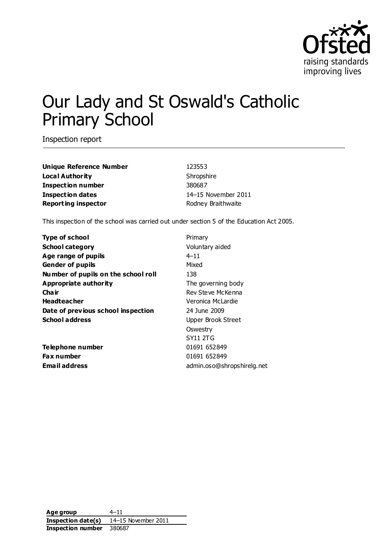

# Our Lady and St Oswald's Catholic Primary School

Inspection report

**Unique Reference Number** 123553 **Local Authority** Shropshire **Inspection number** 380687 **Inspection dates** 14–15 November 2011 **Reporting inspector Reporting inspector Rodney Braithwaite** 

This inspection of the school was carried out under section 5 of the Education Act 2005.

| <b>Type of school</b>               | Primary                    |
|-------------------------------------|----------------------------|
| <b>School category</b>              | Voluntary aided            |
| Age range of pupils                 | $4 - 11$                   |
| <b>Gender of pupils</b>             | Mixed                      |
| Number of pupils on the school roll | 138                        |
| Appropriate authority               | The governing body         |
| Cha ir                              | Rev Steve McKenna          |
| <b>Headteacher</b>                  | Veronica McLardie          |
| Date of previous school inspection  | 24 June 2009               |
| <b>School address</b>               | Upper Brook Street         |
|                                     | Oswestry                   |
|                                     | <b>SY11 2TG</b>            |
| Telephone number                    | 01691 652849               |
| <b>Fax number</b>                   | 01691 652849               |
| Email address                       | admin.oso@shropshirelg.net |

**Age group** 4–11 **Inspection date(s)** 14–15 November 2011 **Inspection number** 380687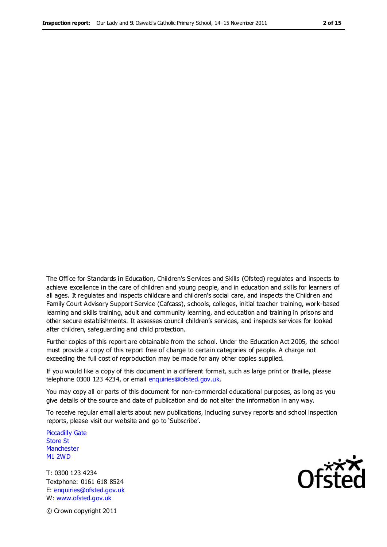The Office for Standards in Education, Children's Services and Skills (Ofsted) regulates and inspects to achieve excellence in the care of children and young people, and in education and skills for learners of all ages. It regulates and inspects childcare and children's social care, and inspects the Children and Family Court Advisory Support Service (Cafcass), schools, colleges, initial teacher training, work-based learning and skills training, adult and community learning, and education and training in prisons and other secure establishments. It assesses council children's services, and inspects services for looked after children, safeguarding and child protection.

Further copies of this report are obtainable from the school. Under the Education Act 2005, the school must provide a copy of this report free of charge to certain categories of people. A charge not exceeding the full cost of reproduction may be made for any other copies supplied.

If you would like a copy of this document in a different format, such as large print or Braille, please telephone 0300 123 4234, or email enquiries@ofsted.gov.uk.

You may copy all or parts of this document for non-commercial educational purposes, as long as you give details of the source and date of publication and do not alter the information in any way.

To receive regular email alerts about new publications, including survey reports and school inspection reports, please visit our website and go to 'Subscribe'.

Piccadilly Gate Store St **Manchester** M1 2WD

T: 0300 123 4234 Textphone: 0161 618 8524 E: enquiries@ofsted.gov.uk W: www.ofsted.gov.uk

**Ofsted** 

© Crown copyright 2011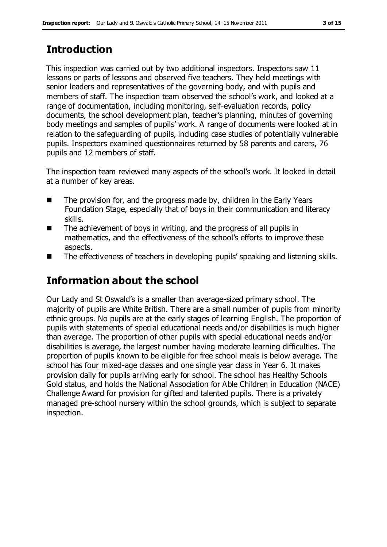# **Introduction**

This inspection was carried out by two additional inspectors. Inspectors saw 11 lessons or parts of lessons and observed five teachers. They held meetings with senior leaders and representatives of the governing body, and with pupils and members of staff. The inspection team observed the school's work, and looked at a range of documentation, including monitoring, self-evaluation records, policy documents, the school development plan, teacher's planning, minutes of governing body meetings and samples of pupils' work. A range of documents were looked at in relation to the safeguarding of pupils, including case studies of potentially vulnerable pupils. Inspectors examined questionnaires returned by 58 parents and carers, 76 pupils and 12 members of staff.

The inspection team reviewed many aspects of the school's work. It looked in detail at a number of key areas.

- The provision for, and the progress made by, children in the Early Years Foundation Stage, especially that of boys in their communication and literacy skills.
- The achievement of boys in writing, and the progress of all pupils in mathematics, and the effectiveness of the school's efforts to improve these aspects.
- The effectiveness of teachers in developing pupils' speaking and listening skills.

# **Information about the school**

Our Lady and St Oswald's is a smaller than average-sized primary school. The majority of pupils are White British. There are a small number of pupils from minority ethnic groups. No pupils are at the early stages of learning English. The proportion of pupils with statements of special educational needs and/or disabilities is much higher than average. The proportion of other pupils with special educational needs and/or disabilities is average, the largest number having moderate learning difficulties. The proportion of pupils known to be eligible for free school meals is below average. The school has four mixed-age classes and one single year class in Year 6. It makes provision daily for pupils arriving early for school. The school has Healthy Schools Gold status, and holds the National Association for Able Children in Education (NACE) Challenge Award for provision for gifted and talented pupils. There is a privately managed pre-school nursery within the school grounds, which is subject to separate inspection.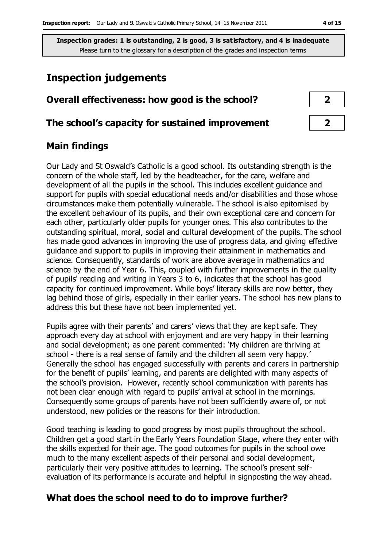## **Inspection judgements**

| Overall effectiveness: how good is the school?  |  |  |
|-------------------------------------------------|--|--|
| The school's capacity for sustained improvement |  |  |

#### **Main findings**

Our Lady and St Oswald's Catholic is a good school. Its outstanding strength is the concern of the whole staff, led by the headteacher, for the care, welfare and development of all the pupils in the school. This includes excellent guidance and support for pupils with special educational needs and/or disabilities and those whose circumstances make them potentially vulnerable. The school is also epitomised by the excellent behaviour of its pupils, and their own exceptional care and concern for each other, particularly older pupils for younger ones. This also contributes to the outstanding spiritual, moral, social and cultural development of the pupils. The school has made good advances in improving the use of progress data, and giving effective guidance and support to pupils in improving their attainment in mathematics and science. Consequently, standards of work are above average in mathematics and science by the end of Year 6. This, coupled with further improvements in the quality of pupils' reading and writing in Years 3 to 6, indicates that the school has good capacity for continued improvement. While boys' literacy skills are now better, they lag behind those of girls, especially in their earlier years. The school has new plans to address this but these have not been implemented yet.

Pupils agree with their parents' and carers' views that they are kept safe. They approach every day at school with enjoyment and are very happy in their learning and social development; as one parent commented: 'My children are thriving at school - there is a real sense of family and the children all seem very happy.' Generally the school has engaged successfully with parents and carers in partnership for the benefit of pupils' learning, and parents are delighted with many aspects of the school's provision. However, recently school communication with parents has not been clear enough with regard to pupils' arrival at school in the mornings. Consequently some groups of parents have not been sufficiently aware of, or not understood, new policies or the reasons for their introduction.

Good teaching is leading to good progress by most pupils throughout the school. Children get a good start in the Early Years Foundation Stage, where they enter with the skills expected for their age. The good outcomes for pupils in the school owe much to the many excellent aspects of their personal and social development, particularly their very positive attitudes to learning. The school's present selfevaluation of its performance is accurate and helpful in signposting the way ahead.

#### **What does the school need to do to improve further?**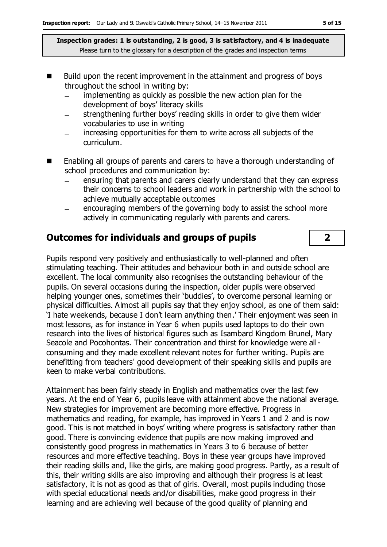- Build upon the recent improvement in the attainment and progress of boys throughout the school in writing by:
	- implementing as quickly as possible the new action plan for the  $\equiv$ development of boys' literacy skills
	- strengthening further boys' reading skills in order to give them wider vocabularies to use in writing
	- increasing opportunities for them to write across all subjects of the curriculum.
- Enabling all groups of parents and carers to have a thorough understanding of school procedures and communication by:
	- ensuring that parents and carers clearly understand that they can express  $\equiv$ their concerns to school leaders and work in partnership with the school to achieve mutually acceptable outcomes
	- encouraging members of the governing body to assist the school more  $\equiv$ actively in communicating regularly with parents and carers.

### **Outcomes for individuals and groups of pupils 2**

Pupils respond very positively and enthusiastically to well-planned and often stimulating teaching. Their attitudes and behaviour both in and outside school are excellent. The local community also recognises the outstanding behaviour of the pupils. On several occasions during the inspection, older pupils were observed helping younger ones, sometimes their 'buddies', to overcome personal learning or physical difficulties. Almost all pupils say that they enjoy school, as one of them said: 'I hate weekends, because I don't learn anything then.' Their enjoyment was seen in most lessons, as for instance in Year 6 when pupils used laptops to do their own research into the lives of historical figures such as Isambard Kingdom Brunel, Mary Seacole and Pocohontas. Their concentration and thirst for knowledge were allconsuming and they made excellent relevant notes for further writing. Pupils are benefitting from teachers' good development of their speaking skills and pupils are keen to make verbal contributions.

Attainment has been fairly steady in English and mathematics over the last few years. At the end of Year 6, pupils leave with attainment above the national average. New strategies for improvement are becoming more effective. Progress in mathematics and reading, for example, has improved in Years 1 and 2 and is now good. This is not matched in boys' writing where progress is satisfactory rather than good. There is convincing evidence that pupils are now making improved and consistently good progress in mathematics in Years 3 to 6 because of better resources and more effective teaching. Boys in these year groups have improved their reading skills and, like the girls, are making good progress. Partly, as a result of this, their writing skills are also improving and although their progress is at least satisfactory, it is not as good as that of girls. Overall, most pupils including those with special educational needs and/or disabilities, make good progress in their learning and are achieving well because of the good quality of planning and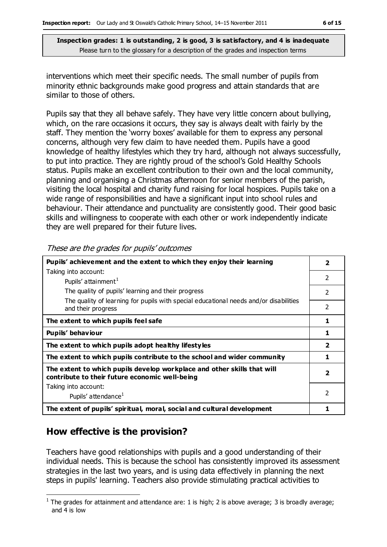interventions which meet their specific needs. The small number of pupils from minority ethnic backgrounds make good progress and attain standards that are similar to those of others.

Pupils say that they all behave safely. They have very little concern about bullying, which, on the rare occasions it occurs, they say is always dealt with fairly by the staff. They mention the 'worry boxes' available for them to express any personal concerns, although very few claim to have needed them. Pupils have a good knowledge of healthy lifestyles which they try hard, although not always successfully, to put into practice. They are rightly proud of the school's Gold Healthy Schools status. Pupils make an excellent contribution to their own and the local community, planning and organising a Christmas afternoon for senior members of the parish, visiting the local hospital and charity fund raising for local hospices. Pupils take on a wide range of responsibilities and have a significant input into school rules and behaviour. Their attendance and punctuality are consistently good. Their good basic skills and willingness to cooperate with each other or work independently indicate they are well prepared for their future lives.

**Pupils' achievement and the extent to which they enjoy their learning** Taking into account: Pupils' attainment<sup>1</sup> The quality of pupils' learning and their progress The quality of learning for pupils with special educational needs and/or disabilities and their progress **2** 2 2 2 **The extent to which pupils feel safe 1 Pupils' behaviour 1 The extent to which pupils adopt healthy lifestyles 2 The extent to which pupils contribute to the school and wider community 1 The extent to which pupils develop workplace and other skills that will contribute to their future economic well-being** Taking into account: Pupils' attendance<sup>1</sup> **2** 2 **The extent of pupils' spiritual, moral, social and cultural development 1**

These are the grades for pupils' outcomes

#### **How effective is the provision?**

Teachers have good relationships with pupils and a good understanding of their individual needs. This is because the school has consistently improved its assessment strategies in the last two years, and is using data effectively in planning the next steps in pupils' learning. Teachers also provide stimulating practical activities to

 $\overline{a}$ <sup>1</sup> The grades for attainment and attendance are: 1 is high; 2 is above average; 3 is broadly average; and 4 is low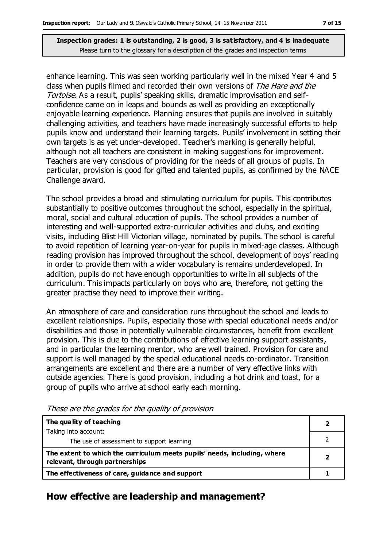enhance learning. This was seen working particularly well in the mixed Year 4 and 5 class when pupils filmed and recorded their own versions of The Hare and the Tortoise. As a result, pupils' speaking skills, dramatic improvisation and selfconfidence came on in leaps and bounds as well as providing an exceptionally enjoyable learning experience. Planning ensures that pupils are involved in suitably challenging activities, and teachers have made increasingly successful efforts to help pupils know and understand their learning targets. Pupils' involvement in setting their own targets is as yet under-developed. Teacher's marking is generally helpful, although not all teachers are consistent in making suggestions for improvement. Teachers are very conscious of providing for the needs of all groups of pupils. In particular, provision is good for gifted and talented pupils, as confirmed by the NACE Challenge award.

The school provides a broad and stimulating curriculum for pupils. This contributes substantially to positive outcomes throughout the school, especially in the spiritual, moral, social and cultural education of pupils. The school provides a number of interesting and well-supported extra-curricular activities and clubs, and exciting visits, including Blist Hill Victorian village, nominated by pupils. The school is careful to avoid repetition of learning year-on-year for pupils in mixed-age classes. Although reading provision has improved throughout the school, development of boys' reading in order to provide them with a wider vocabulary is remains underdeveloped. In addition, pupils do not have enough opportunities to write in all subjects of the curriculum. This impacts particularly on boys who are, therefore, not getting the greater practise they need to improve their writing.

An atmosphere of care and consideration runs throughout the school and leads to excellent relationships. Pupils, especially those with special educational needs and/or disabilities and those in potentially vulnerable circumstances, benefit from excellent provision. This is due to the contributions of effective learning support assistants, and in particular the learning mentor, who are well trained. Provision for care and support is well managed by the special educational needs co-ordinator. Transition arrangements are excellent and there are a number of very effective links with outside agencies. There is good provision, including a hot drink and toast, for a group of pupils who arrive at school early each morning.

| The quality of teaching                                                                                    |  |
|------------------------------------------------------------------------------------------------------------|--|
| Taking into account:                                                                                       |  |
| The use of assessment to support learning                                                                  |  |
| The extent to which the curriculum meets pupils' needs, including, where<br>relevant, through partnerships |  |
| The effectiveness of care, guidance and support                                                            |  |

These are the grades for the quality of provision

#### **How effective are leadership and management?**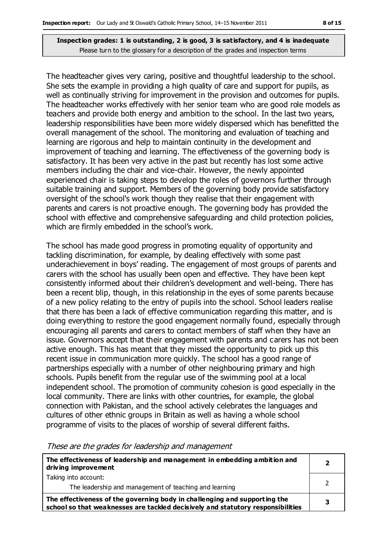The headteacher gives very caring, positive and thoughtful leadership to the school. She sets the example in providing a high quality of care and support for pupils, as well as continually striving for improvement in the provision and outcomes for pupils. The headteacher works effectively with her senior team who are good role models as teachers and provide both energy and ambition to the school. In the last two years, leadership responsibilities have been more widely dispersed which has benefitted the overall management of the school. The monitoring and evaluation of teaching and learning are rigorous and help to maintain continuity in the development and improvement of teaching and learning. The effectiveness of the governing body is satisfactory. It has been very active in the past but recently has lost some active members including the chair and vice-chair. However, the newly appointed experienced chair is taking steps to develop the roles of governors further through suitable training and support. Members of the governing body provide satisfactory oversight of the school's work though they realise that their engagement with parents and carers is not proactive enough. The governing body has provided the school with effective and comprehensive safeguarding and child protection policies, which are firmly embedded in the school's work.

The school has made good progress in promoting equality of opportunity and tackling discrimination, for example, by dealing effectively with some past underachievement in boys' reading. The engagement of most groups of parents and carers with the school has usually been open and effective. They have been kept consistently informed about their children's development and well-being. There has been a recent blip, though, in this relationship in the eyes of some parents because of a new policy relating to the entry of pupils into the school. School leaders realise that there has been a lack of effective communication regarding this matter, and is doing everything to restore the good engagement normally found, especially through encouraging all parents and carers to contact members of staff when they have an issue. Governors accept that their engagement with parents and carers has not been active enough. This has meant that they missed the opportunity to pick up this recent issue in communication more quickly. The school has a good range of partnerships especially with a number of other neighbouring primary and high schools. Pupils benefit from the regular use of the swimming pool at a local independent school. The promotion of community cohesion is good especially in the local community. There are links with other countries, for example, the global connection with Pakistan, and the school actively celebrates the languages and cultures of other ethnic groups in Britain as well as having a whole school programme of visits to the places of worship of several different faiths.

| The effectiveness of leadership and management in embedding ambition and<br>driving improvement                                                              | $\overline{\phantom{a}}$ |
|--------------------------------------------------------------------------------------------------------------------------------------------------------------|--------------------------|
| Taking into account:<br>The leadership and management of teaching and learning                                                                               |                          |
| The effectiveness of the governing body in challenging and supporting the<br>school so that weaknesses are tackled decisively and statutory responsibilities |                          |

These are the grades for leadership and management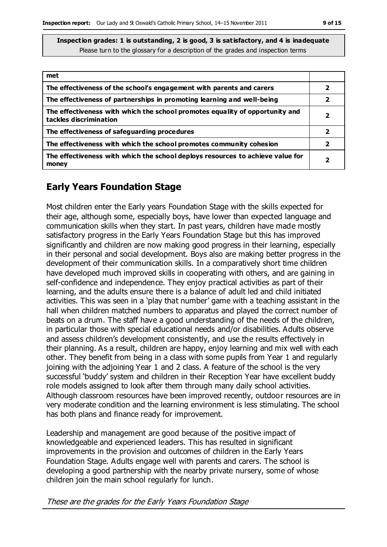| met                                                                                                    |   |
|--------------------------------------------------------------------------------------------------------|---|
| The effectiveness of the school's engagement with parents and carers                                   | 2 |
| The effectiveness of partnerships in promoting learning and well-being                                 | 2 |
| The effectiveness with which the school promotes equality of opportunity and<br>tackles discrimination | 2 |
| The effectiveness of safeguarding procedures                                                           | 2 |
| The effectiveness with which the school promotes community cohesion                                    | 2 |
| The effectiveness with which the school deploys resources to achieve value for<br>money                | 2 |

#### **Early Years Foundation Stage**

Most children enter the Early years Foundation Stage with the skills expected for their age, although some, especially boys, have lower than expected language and communication skills when they start. In past years, children have made mostly satisfactory progress in the Early Years Foundation Stage but this has improved significantly and children are now making good progress in their learning, especially in their personal and social development. Boys also are making better progress in the development of their communication skills. In a comparatively short time children have developed much improved skills in cooperating with others, and are gaining in self-confidence and independence. They enjoy practical activities as part of their learning, and the adults ensure there is a balance of adult led and child initiated activities. This was seen in a 'play that number' game with a teaching assistant in the hall when children matched numbers to apparatus and played the correct number of beats on a drum. The staff have a good understanding of the needs of the children, in particular those with special educational needs and/or disabilities. Adults observe and assess children's development consistently, and use the results effectively in their planning. As a result, children are happy, enjoy learning and mix well with each other. They benefit from being in a class with some pupils from Year 1 and regularly joining with the adjoining Year 1 and 2 class. A feature of the school is the very successful 'buddy' system and children in their Reception Year have excellent buddy role models assigned to look after them through many daily school activities. Although classroom resources have been improved recently, outdoor resources are in very moderate condition and the learning environment is less stimulating. The school has both plans and finance ready for improvement.

Leadership and management are good because of the positive impact of knowledgeable and experienced leaders. This has resulted in significant improvements in the provision and outcomes of children in the Early Years Foundation Stage. Adults engage well with parents and carers. The school is developing a good partnership with the nearby private nursery, some of whose children join the main school regularly for lunch.

These are the grades for the Early Years Foundation Stage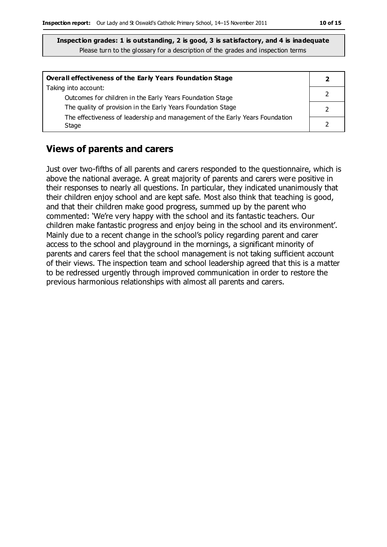| <b>Overall effectiveness of the Early Years Foundation Stage</b>             |  |
|------------------------------------------------------------------------------|--|
| Taking into account:                                                         |  |
| Outcomes for children in the Early Years Foundation Stage                    |  |
| The quality of provision in the Early Years Foundation Stage                 |  |
| The effectiveness of leadership and management of the Early Years Foundation |  |
| Stage                                                                        |  |

#### **Views of parents and carers**

Just over two-fifths of all parents and carers responded to the questionnaire, which is above the national average. A great majority of parents and carers were positive in their responses to nearly all questions. In particular, they indicated unanimously that their children enjoy school and are kept safe. Most also think that teaching is good, and that their children make good progress, summed up by the parent who commented: 'We're very happy with the school and its fantastic teachers. Our children make fantastic progress and enjoy being in the school and its environment'. Mainly due to a recent change in the school's policy regarding parent and carer access to the school and playground in the mornings, a significant minority of parents and carers feel that the school management is not taking sufficient account of their views. The inspection team and school leadership agreed that this is a matter to be redressed urgently through improved communication in order to restore the previous harmonious relationships with almost all parents and carers.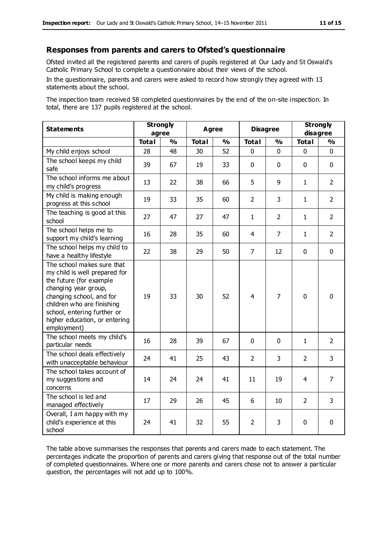#### **Responses from parents and carers to Ofsted's questionnaire**

Ofsted invited all the registered parents and carers of pupils registered at Our Lady and St Oswald's Catholic Primary School to complete a questionnaire about their views of the school.

In the questionnaire, parents and carers were asked to record how strongly they agreed with 13 statements about the school.

The inspection team received 58 completed questionnaires by the end of the on-site inspection. In total, there are 137 pupils registered at the school.

| <b>Statements</b>                                                                                                                                                                                                                                       | <b>Strongly</b><br>agree |               | <b>Agree</b> |               | <b>Disagree</b> |                | <b>Strongly</b><br>disagree |                |
|---------------------------------------------------------------------------------------------------------------------------------------------------------------------------------------------------------------------------------------------------------|--------------------------|---------------|--------------|---------------|-----------------|----------------|-----------------------------|----------------|
|                                                                                                                                                                                                                                                         | <b>Total</b>             | $\frac{0}{0}$ | <b>Total</b> | $\frac{1}{2}$ | <b>Total</b>    | $\frac{0}{0}$  | <b>Total</b>                | $\frac{1}{2}$  |
| My child enjoys school                                                                                                                                                                                                                                  | 28                       | 48            | 30           | 52            | 0               | 0              | 0                           | $\Omega$       |
| The school keeps my child<br>safe                                                                                                                                                                                                                       | 39                       | 67            | 19           | 33            | $\mathbf 0$     | $\mathbf 0$    | $\mathbf{0}$                | $\mathbf 0$    |
| The school informs me about<br>my child's progress                                                                                                                                                                                                      | 13                       | 22            | 38           | 66            | 5               | 9              | $\mathbf{1}$                | $\overline{2}$ |
| My child is making enough<br>progress at this school                                                                                                                                                                                                    | 19                       | 33            | 35           | 60            | $\overline{2}$  | 3              | $\mathbf{1}$                | $\overline{2}$ |
| The teaching is good at this<br>school                                                                                                                                                                                                                  | 27                       | 47            | 27           | 47            | $\mathbf{1}$    | $\overline{2}$ | $\mathbf{1}$                | $\overline{2}$ |
| The school helps me to<br>support my child's learning                                                                                                                                                                                                   | 16                       | 28            | 35           | 60            | 4               | $\overline{7}$ | $\mathbf{1}$                | $\overline{2}$ |
| The school helps my child to<br>have a healthy lifestyle                                                                                                                                                                                                | 22                       | 38            | 29           | 50            | $\overline{7}$  | 12             | $\mathbf 0$                 | $\mathbf 0$    |
| The school makes sure that<br>my child is well prepared for<br>the future (for example<br>changing year group,<br>changing school, and for<br>children who are finishing<br>school, entering further or<br>higher education, or entering<br>employment) | 19                       | 33            | 30           | 52            | $\overline{4}$  | $\overline{7}$ | $\mathbf 0$                 | $\mathbf 0$    |
| The school meets my child's<br>particular needs                                                                                                                                                                                                         | 16                       | 28            | 39           | 67            | $\mathbf 0$     | $\mathbf{0}$   | $\mathbf{1}$                | $\overline{2}$ |
| The school deals effectively<br>with unacceptable behaviour                                                                                                                                                                                             | 24                       | 41            | 25           | 43            | $\overline{2}$  | 3              | $\overline{2}$              | 3              |
| The school takes account of<br>my suggestions and<br>concerns                                                                                                                                                                                           | 14                       | 24            | 24           | 41            | 11              | 19             | 4                           | $\overline{7}$ |
| The school is led and<br>managed effectively                                                                                                                                                                                                            | 17                       | 29            | 26           | 45            | 6               | 10             | $\overline{2}$              | 3              |
| Overall, I am happy with my<br>child's experience at this<br>school                                                                                                                                                                                     | 24                       | 41            | 32           | 55            | 2               | 3              | $\mathbf 0$                 | 0              |

The table above summarises the responses that parents and carers made to each statement. The percentages indicate the proportion of parents and carers giving that response out of the total number of completed questionnaires. Where one or more parents and carers chose not to answer a particular question, the percentages will not add up to 100%.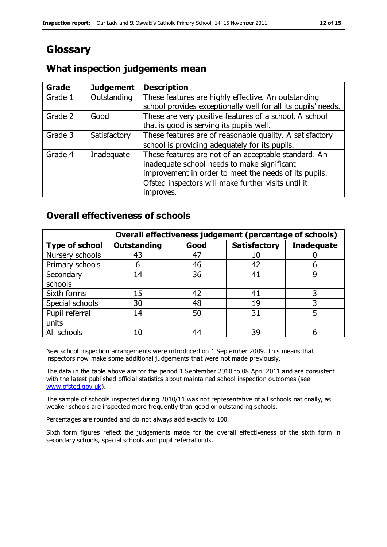# **Glossary**

#### **What inspection judgements mean**

| <b>Grade</b> | <b>Judgement</b> | <b>Description</b>                                            |
|--------------|------------------|---------------------------------------------------------------|
| Grade 1      | Outstanding      | These features are highly effective. An outstanding           |
|              |                  | school provides exceptionally well for all its pupils' needs. |
| Grade 2      | Good             | These are very positive features of a school. A school        |
|              |                  | that is good is serving its pupils well.                      |
| Grade 3      | Satisfactory     | These features are of reasonable quality. A satisfactory      |
|              |                  | school is providing adequately for its pupils.                |
| Grade 4      | Inadequate       | These features are not of an acceptable standard. An          |
|              |                  | inadequate school needs to make significant                   |
|              |                  | improvement in order to meet the needs of its pupils.         |
|              |                  | Ofsted inspectors will make further visits until it           |
|              |                  | improves.                                                     |

#### **Overall effectiveness of schools**

|                       | Overall effectiveness judgement (percentage of schools) |      |                     |                   |
|-----------------------|---------------------------------------------------------|------|---------------------|-------------------|
| <b>Type of school</b> | <b>Outstanding</b>                                      | Good | <b>Satisfactory</b> | <b>Inadequate</b> |
| Nursery schools       | 43                                                      | 47   | 10                  |                   |
| Primary schools       | 6                                                       | 46   | 42                  |                   |
| Secondary             | 14                                                      | 36   | 41                  |                   |
| schools               |                                                         |      |                     |                   |
| Sixth forms           | 15                                                      | 42   | 41                  | 3                 |
| Special schools       | 30                                                      | 48   | 19                  |                   |
| Pupil referral        | 14                                                      | 50   | 31                  |                   |
| units                 |                                                         |      |                     |                   |
| All schools           | 10                                                      | 44   | 39                  |                   |

New school inspection arrangements were introduced on 1 September 2009. This means that inspectors now make some additional judgements that were not made previously.

The data in the table above are for the period 1 September 2010 to 08 April 2011 and are consistent with the latest published official statistics about maintained school inspection outcomes (see [www.ofsted.gov.uk\)](http://www.ofsted.gov.uk/).

The sample of schools inspected during 2010/11 was not representative of all schools nationally, as weaker schools are inspected more frequently than good or outstanding schools.

Percentages are rounded and do not always add exactly to 100.

Sixth form figures reflect the judgements made for the overall effectiveness of the sixth form in secondary schools, special schools and pupil referral units.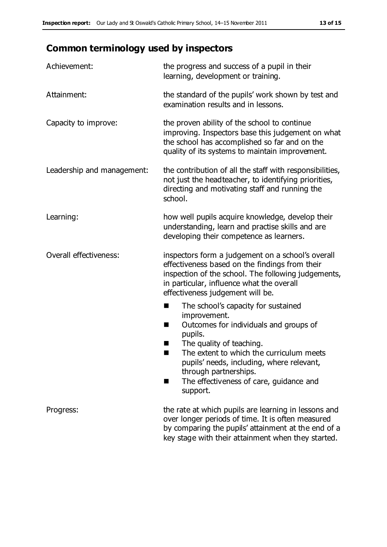# **Common terminology used by inspectors**

| Achievement:               | the progress and success of a pupil in their<br>learning, development or training.                                                                                                                                                                                                                                 |
|----------------------------|--------------------------------------------------------------------------------------------------------------------------------------------------------------------------------------------------------------------------------------------------------------------------------------------------------------------|
| Attainment:                | the standard of the pupils' work shown by test and<br>examination results and in lessons.                                                                                                                                                                                                                          |
| Capacity to improve:       | the proven ability of the school to continue<br>improving. Inspectors base this judgement on what<br>the school has accomplished so far and on the<br>quality of its systems to maintain improvement.                                                                                                              |
| Leadership and management: | the contribution of all the staff with responsibilities,<br>not just the headteacher, to identifying priorities,<br>directing and motivating staff and running the<br>school.                                                                                                                                      |
| Learning:                  | how well pupils acquire knowledge, develop their<br>understanding, learn and practise skills and are<br>developing their competence as learners.                                                                                                                                                                   |
| Overall effectiveness:     | inspectors form a judgement on a school's overall<br>effectiveness based on the findings from their<br>inspection of the school. The following judgements,<br>in particular, influence what the overall<br>effectiveness judgement will be.                                                                        |
|                            | The school's capacity for sustained<br>improvement.<br>Outcomes for individuals and groups of<br>П<br>pupils.<br>The quality of teaching.<br>The extent to which the curriculum meets<br>pupils' needs, including, where relevant,<br>through partnerships.<br>The effectiveness of care, guidance and<br>support. |
| Progress:                  | the rate at which pupils are learning in lessons and<br>over longer periods of time. It is often measured<br>by comparing the pupils' attainment at the end of a<br>key stage with their attainment when they started.                                                                                             |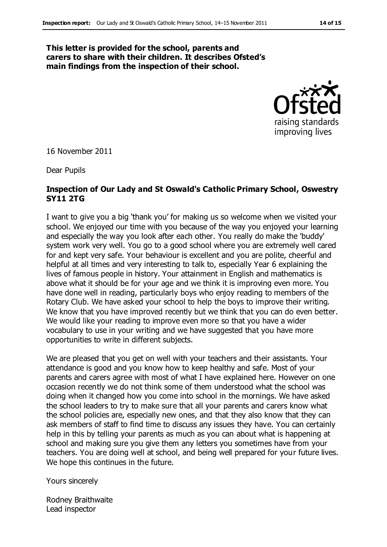#### **This letter is provided for the school, parents and carers to share with their children. It describes Ofsted's main findings from the inspection of their school.**



16 November 2011

Dear Pupils

#### **Inspection of Our Lady and St Oswald's Catholic Primary School, Oswestry SY11 2TG**

I want to give you a big 'thank you' for making us so welcome when we visited your school. We enjoyed our time with you because of the way you enjoyed your learning and especially the way you look after each other. You really do make the 'buddy' system work very well. You go to a good school where you are extremely well cared for and kept very safe. Your behaviour is excellent and you are polite, cheerful and helpful at all times and very interesting to talk to, especially Year 6 explaining the lives of famous people in history. Your attainment in English and mathematics is above what it should be for your age and we think it is improving even more. You have done well in reading, particularly boys who enjoy reading to members of the Rotary Club. We have asked your school to help the boys to improve their writing. We know that you have improved recently but we think that you can do even better. We would like your reading to improve even more so that you have a wider vocabulary to use in your writing and we have suggested that you have more opportunities to write in different subjects.

We are pleased that you get on well with your teachers and their assistants. Your attendance is good and you know how to keep healthy and safe. Most of your parents and carers agree with most of what I have explained here. However on one occasion recently we do not think some of them understood what the school was doing when it changed how you come into school in the mornings. We have asked the school leaders to try to make sure that all your parents and carers know what the school policies are, especially new ones, and that they also know that they can ask members of staff to find time to discuss any issues they have. You can certainly help in this by telling your parents as much as you can about what is happening at school and making sure you give them any letters you sometimes have from your teachers. You are doing well at school, and being well prepared for your future lives. We hope this continues in the future.

Yours sincerely

Rodney Braithwaite Lead inspector